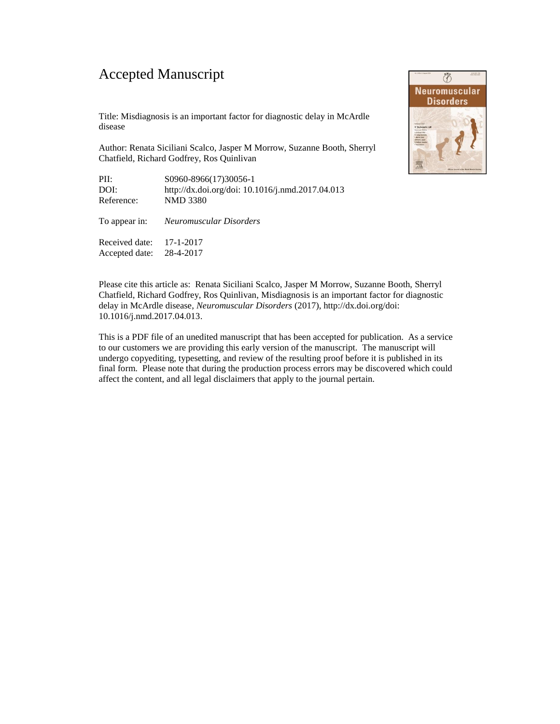## Accepted Manuscript

disease

Title: Misdiagnosis is an important factor for diagnostic delay in McArdle

Author: Renata Siciliani Scalco, Jasper M Morrow, Suzanne Booth, Sherryl Chatfield, Richard Godfrey, Ros Quinlivan

| PII:       | S0960-8966(17)30056-1                            |
|------------|--------------------------------------------------|
| DOI:       | http://dx.doi.org/doi: 10.1016/j.nmd.2017.04.013 |
| Reference: | NMD 3380                                         |
|            |                                                  |

|                            | To appear in: Neuromuscular Disorders |
|----------------------------|---------------------------------------|
| Received date: $17-1-2017$ |                                       |

Accepted date: 28-4-2017



Please cite this article as: Renata Siciliani Scalco, Jasper M Morrow, Suzanne Booth, Sherryl Chatfield, Richard Godfrey, Ros Quinlivan, Misdiagnosis is an important factor for diagnostic delay in McArdle disease, *Neuromuscular Disorders* (2017), http://dx.doi.org/doi: 10.1016/j.nmd.2017.04.013.

This is a PDF file of an unedited manuscript that has been accepted for publication. As a service to our customers we are providing this early version of the manuscript. The manuscript will undergo copyediting, typesetting, and review of the resulting proof before it is published in its final form. Please note that during the production process errors may be discovered which could affect the content, and all legal disclaimers that apply to the journal pertain.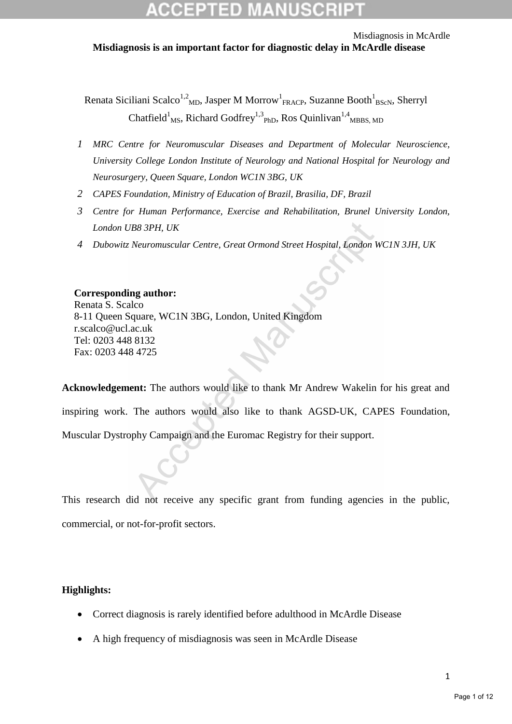Misdiagnosis in McArdle **Misdiagnosis is an important factor for diagnostic delay in McArdle disease** 

Renata Siciliani Scalco<sup>1,2</sup><sub>MD</sub>, Jasper M Morrow<sup>1</sup><sub>FRACP</sub>, Suzanne Booth<sup>1</sup><sub>BScN</sub>, Sherryl Chatfield<sup>1</sup><sub>MS</sub>, Richard Godfrey<sup>1,3</sup><sub>PhD</sub>, Ros Quinlivan<sup>1,4</sup><sub>MBBS, MD</sub>

- *1 MRC Centre for Neuromuscular Diseases and Department of Molecular Neuroscience, University College London Institute of Neurology and National Hospital for Neurology and Neurosurgery, Queen Square, London WC1N 3BG, UK*
- *2 CAPES Foundation, Ministry of Education of Brazil, Brasilia, DF, Brazil*
- *3 Centre for Human Performance, Exercise and Rehabilitation, Brunel University London, London UB8 3PH, UK*
- *4 Dubowitz Neuromuscular Centre, Great Ormond Street Hospital, London WC1N 3JH, UK*

#### **Corresponding author:**

Renata S. Scalco 8-11 Queen Square, WC1N 3BG, London, United Kingdom r.scalco@ucl.ac.uk Tel: 0203 448 8132 Fax: 0203 448 4725

**Acknowledgement:** The authors would like to thank Mr Andrew Wakelin for his great and inspiring work. The authors would also like to thank AGSD-UK, CAPES Foundation, Muscular Dystrophy Campaign and the Euromac Registry for their support.

This research did not receive any specific grant from funding agencies in the public, commercial, or not-for-profit sectors.

## **Highlights:**

- Correct diagnosis is rarely identified before adulthood in McArdle Disease
- A high frequency of misdiagnosis was seen in McArdle Disease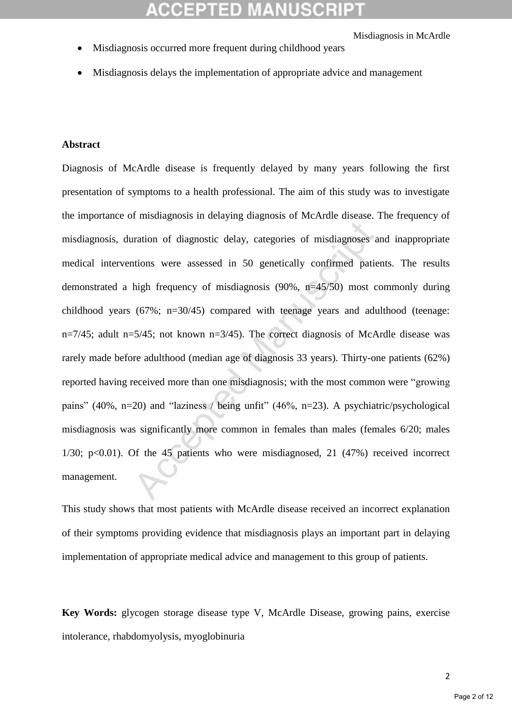- Misdiagnosis occurred more frequent during childhood years
- Misdiagnosis delays the implementation of appropriate advice and management

#### **Abstract**

Diagnosis of McArdle disease is frequently delayed by many years following the first presentation of symptoms to a health professional. The aim of this study was to investigate the importance of misdiagnosis in delaying diagnosis of McArdle disease. The frequency of misdiagnosis, duration of diagnostic delay, categories of misdiagnoses and inappropriate medical interventions were assessed in 50 genetically confirmed patients. The results demonstrated a high frequency of misdiagnosis (90%, n=45/50) most commonly during childhood years (67%; n=30/45) compared with teenage years and adulthood (teenage: n=7/45; adult n=5/45; not known n=3/45). The correct diagnosis of McArdle disease was rarely made before adulthood (median age of diagnosis 33 years). Thirty-one patients (62%) reported having received more than one misdiagnosis; with the most common were "growing pains" (40%, n=20) and "laziness / being unfit" (46%, n=23). A psychiatric/psychological misdiagnosis was significantly more common in females than males (females 6/20; males  $1/30$ ;  $p<0.01$ ). Of the 45 patients who were misdiagnosed, 21 (47%) received incorrect management.

This study shows that most patients with McArdle disease received an incorrect explanation of their symptoms providing evidence that misdiagnosis plays an important part in delaying implementation of appropriate medical advice and management to this group of patients.

**Key Words:** glycogen storage disease type V, McArdle Disease, growing pains, exercise intolerance, rhabdomyolysis, myoglobinuria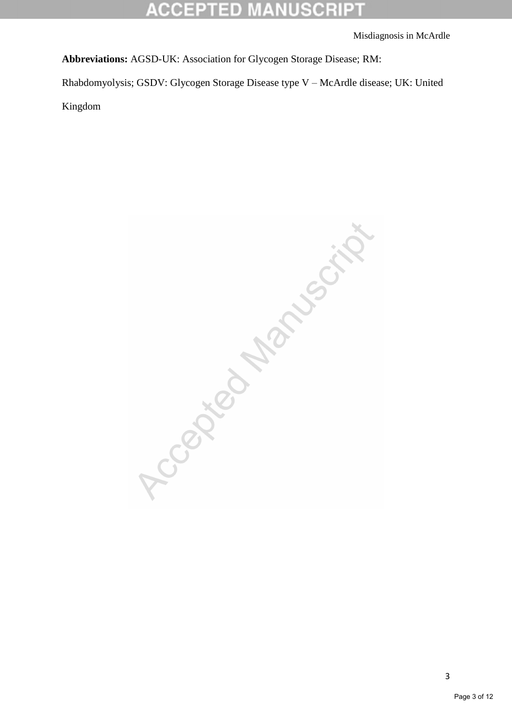#### CCEPTED ANUSCRI EXI

Misdiagnosis in McArdle

**Abbreviations:** AGSD-UK: Association for Glycogen Storage Disease; RM:

Rhabdomyolysis; GSDV: Glycogen Storage Disease type V – McArdle disease; UK: United

Kingdom

Accordition of Manuscript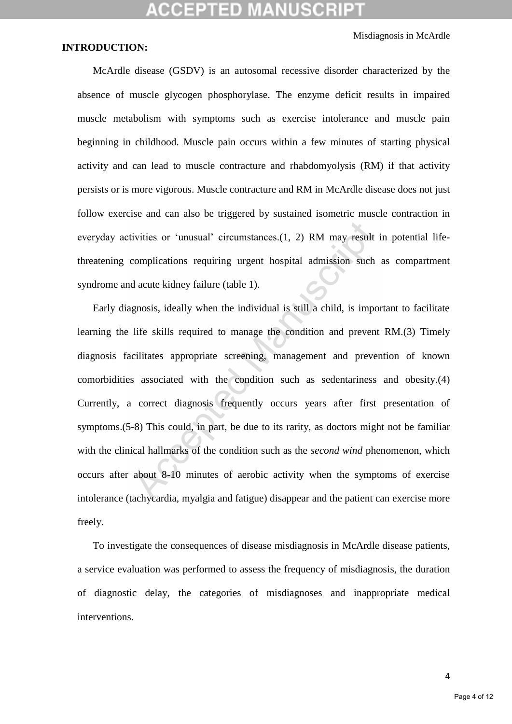Misdiagnosis in McArdle

## **INTRODUCTION:**

McArdle disease (GSDV) is an autosomal recessive disorder characterized by the absence of muscle glycogen phosphorylase. The enzyme deficit results in impaired muscle metabolism with symptoms such as exercise intolerance and muscle pain beginning in childhood. Muscle pain occurs within a few minutes of starting physical activity and can lead to muscle contracture and rhabdomyolysis (RM) if that activity persists or is more vigorous. Muscle contracture and RM in McArdle disease does not just follow exercise and can also be triggered by sustained isometric muscle contraction in everyday activities or 'unusual' circumstances.(1, 2) RM may result in potential lifethreatening complications requiring urgent hospital admission such as compartment syndrome and acute kidney failure (table 1).

Early diagnosis, ideally when the individual is still a child, is important to facilitate learning the life skills required to manage the condition and prevent RM.(3) Timely diagnosis facilitates appropriate screening, management and prevention of known comorbidities associated with the condition such as sedentariness and obesity.(4) Currently, a correct diagnosis frequently occurs years after first presentation of symptoms.(5-8) This could, in part, be due to its rarity, as doctors might not be familiar with the clinical hallmarks of the condition such as the *second wind* phenomenon, which occurs after about 8-10 minutes of aerobic activity when the symptoms of exercise intolerance (tachycardia, myalgia and fatigue) disappear and the patient can exercise more freely.

To investigate the consequences of disease misdiagnosis in McArdle disease patients, a service evaluation was performed to assess the frequency of misdiagnosis, the duration of diagnostic delay, the categories of misdiagnoses and inappropriate medical interventions.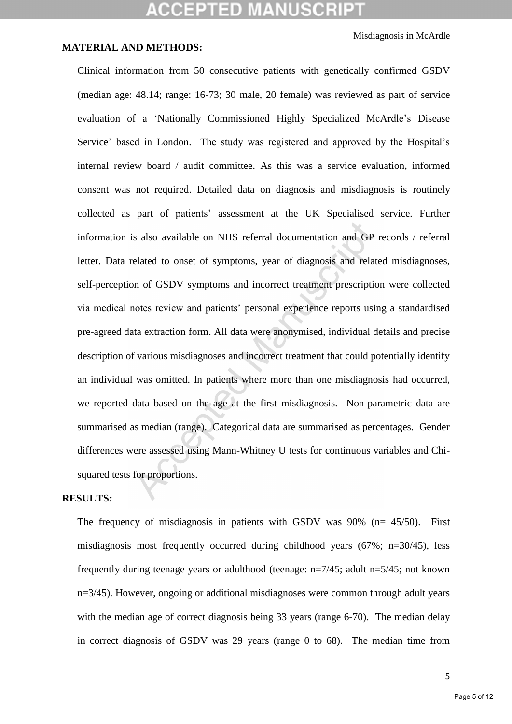## **CCEPTED MANUSCR**

Misdiagnosis in McArdle

## **MATERIAL AND METHODS:**

Clinical information from 50 consecutive patients with genetically confirmed GSDV (median age: 48.14; range: 16-73; 30 male, 20 female) was reviewed as part of service evaluation of a 'Nationally Commissioned Highly Specialized McArdle's Disease Service' based in London. The study was registered and approved by the Hospital's internal review board / audit committee. As this was a service evaluation, informed consent was not required. Detailed data on diagnosis and misdiagnosis is routinely collected as part of patients' assessment at the UK Specialised service. Further information is also available on NHS referral documentation and GP records / referral letter. Data related to onset of symptoms, year of diagnosis and related misdiagnoses, self-perception of GSDV symptoms and incorrect treatment prescription were collected via medical notes review and patients' personal experience reports using a standardised pre-agreed data extraction form. All data were anonymised, individual details and precise description of various misdiagnoses and incorrect treatment that could potentially identify an individual was omitted. In patients where more than one misdiagnosis had occurred, we reported data based on the age at the first misdiagnosis. Non-parametric data are summarised as median (range). Categorical data are summarised as percentages. Gender differences were assessed using Mann-Whitney U tests for continuous variables and Chisquared tests for proportions.

## **RESULTS:**

The frequency of misdiagnosis in patients with GSDV was 90% (n= 45/50). First misdiagnosis most frequently occurred during childhood years (67%; n=30/45), less frequently during teenage years or adulthood (teenage:  $n=7/45$ ; adult  $n=5/45$ ; not known n=3/45). However, ongoing or additional misdiagnoses were common through adult years with the median age of correct diagnosis being 33 years (range 6-70). The median delay in correct diagnosis of GSDV was 29 years (range 0 to 68). The median time from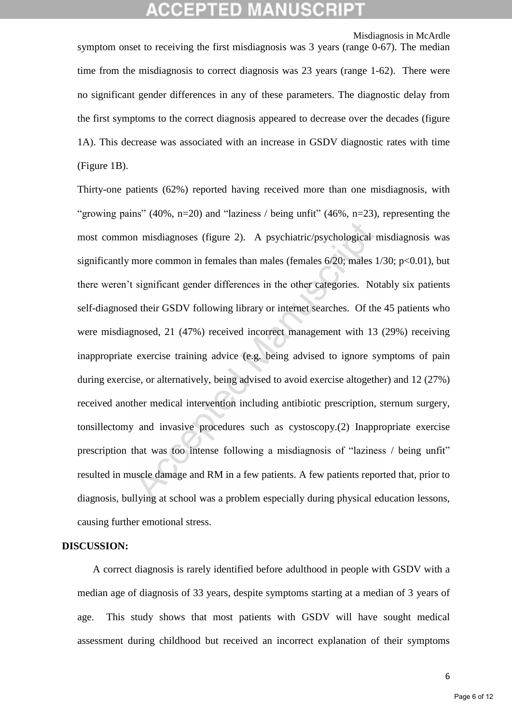## (CELLED)

Misdiagnosis in McArdle

symptom onset to receiving the first misdiagnosis was 3 years (range 0-67). The median time from the misdiagnosis to correct diagnosis was 23 years (range 1-62). There were no significant gender differences in any of these parameters. The diagnostic delay from the first symptoms to the correct diagnosis appeared to decrease over the decades (figure 1A). This decrease was associated with an increase in GSDV diagnostic rates with time (Figure 1B).

Thirty-one patients (62%) reported having received more than one misdiagnosis, with "growing pains" (40%, n=20) and "laziness / being unfit" (46%, n=23), representing the most common misdiagnoses (figure 2). A psychiatric/psychological misdiagnosis was significantly more common in females than males (females  $6/20$ ; males  $1/30$ ;  $p<0.01$ ), but there weren't significant gender differences in the other categories. Notably six patients self-diagnosed their GSDV following library or internet searches. Of the 45 patients who were misdiagnosed, 21 (47%) received incorrect management with 13 (29%) receiving inappropriate exercise training advice (e.g. being advised to ignore symptoms of pain during exercise, or alternatively, being advised to avoid exercise altogether) and 12 (27%) received another medical intervention including antibiotic prescription, sternum surgery, tonsillectomy and invasive procedures such as cystoscopy.(2) Inappropriate exercise prescription that was too intense following a misdiagnosis of "laziness / being unfit" resulted in muscle damage and RM in a few patients. A few patients reported that, prior to diagnosis, bullying at school was a problem especially during physical education lessons, causing further emotional stress.

#### **DISCUSSION:**

A correct diagnosis is rarely identified before adulthood in people with GSDV with a median age of diagnosis of 33 years, despite symptoms starting at a median of 3 years of age. This study shows that most patients with GSDV will have sought medical assessment during childhood but received an incorrect explanation of their symptoms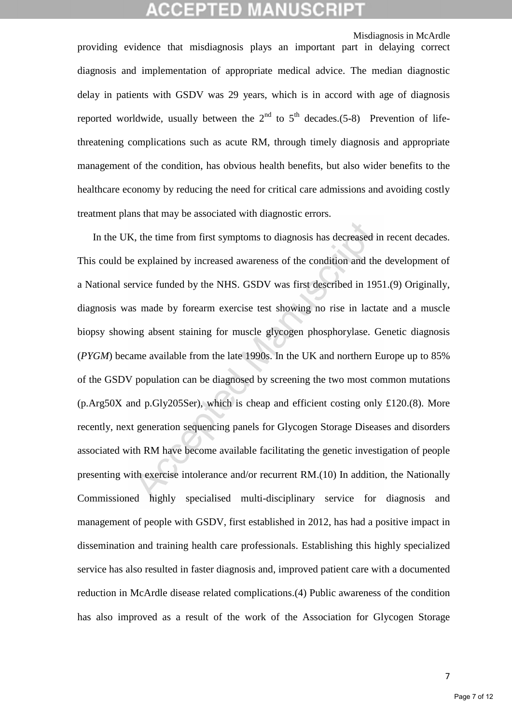## **MANUSCR**

Misdiagnosis in McArdle

providing evidence that misdiagnosis plays an important part in delaying correct diagnosis and implementation of appropriate medical advice. The median diagnostic delay in patients with GSDV was 29 years, which is in accord with age of diagnosis reported worldwide, usually between the  $2<sup>nd</sup>$  to  $5<sup>th</sup>$  decades.(5-8) Prevention of lifethreatening complications such as acute RM, through timely diagnosis and appropriate management of the condition, has obvious health benefits, but also wider benefits to the healthcare economy by reducing the need for critical care admissions and avoiding costly treatment plans that may be associated with diagnostic errors.

In the UK, the time from first symptoms to diagnosis has decreased in recent decades. This could be explained by increased awareness of the condition and the development of a National service funded by the NHS. GSDV was first described in 1951.(9) Originally, diagnosis was made by forearm exercise test showing no rise in lactate and a muscle biopsy showing absent staining for muscle glycogen phosphorylase. Genetic diagnosis (*PYGM*) became available from the late 1990s. In the UK and northern Europe up to 85% of the GSDV population can be diagnosed by screening the two most common mutations (p.Arg50X and p.Gly205Ser), which is cheap and efficient costing only £120.(8). More recently, next generation sequencing panels for Glycogen Storage Diseases and disorders associated with RM have become available facilitating the genetic investigation of people presenting with exercise intolerance and/or recurrent RM.(10) In addition, the Nationally Commissioned highly specialised multi-disciplinary service for diagnosis and management of people with GSDV, first established in 2012, has had a positive impact in dissemination and training health care professionals. Establishing this highly specialized service has also resulted in faster diagnosis and, improved patient care with a documented reduction in McArdle disease related complications.(4) Public awareness of the condition has also improved as a result of the work of the Association for Glycogen Storage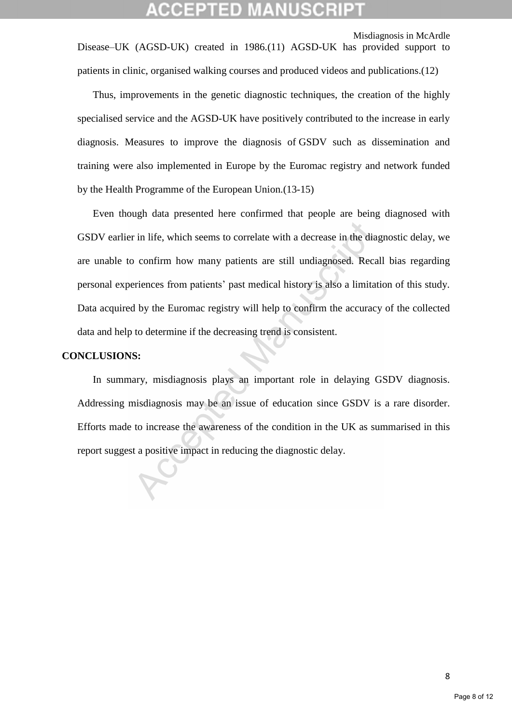Misdiagnosis in McArdle

Disease–UK (AGSD-UK) created in 1986.(11) AGSD-UK has provided support to patients in clinic, organised walking courses and produced videos and publications.(12)

Thus, improvements in the genetic diagnostic techniques, the creation of the highly specialised service and the AGSD-UK have positively contributed to the increase in early diagnosis. Measures to improve the diagnosis of GSDV such as dissemination and training were also implemented in Europe by the Euromac registry and network funded by the Health Programme of the European Union.(13-15)

Even though data presented here confirmed that people are being diagnosed with GSDV earlier in life, which seems to correlate with a decrease in the diagnostic delay, we are unable to confirm how many patients are still undiagnosed. Recall bias regarding personal experiences from patients' past medical history is also a limitation of this study. Data acquired by the Euromac registry will help to confirm the accuracy of the collected data and help to determine if the decreasing trend is consistent.

#### **CONCLUSIONS:**

In summary, misdiagnosis plays an important role in delaying GSDV diagnosis. Addressing misdiagnosis may be an issue of education since GSDV is a rare disorder. Efforts made to increase the awareness of the condition in the UK as summarised in this report suggest a positive impact in reducing the diagnostic delay.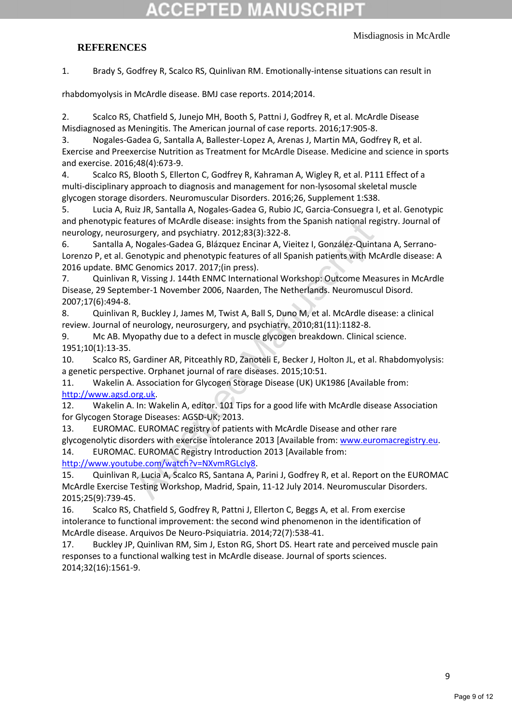# 12TED)

#### Misdiagnosis in McArdle

## **REFERENCES**

1. Brady S, Godfrey R, Scalco RS, Quinlivan RM. Emotionally-intense situations can result in

rhabdomyolysis in McArdle disease. BMJ case reports. 2014;2014.

2. Scalco RS, Chatfield S, Junejo MH, Booth S, Pattni J, Godfrey R, et al. McArdle Disease Misdiagnosed as Meningitis. The American journal of case reports. 2016;17:905-8.

3. Nogales-Gadea G, Santalla A, Ballester-Lopez A, Arenas J, Martin MA, Godfrey R, et al. Exercise and Preexercise Nutrition as Treatment for McArdle Disease. Medicine and science in sports and exercise. 2016;48(4):673-9.

4. Scalco RS, Blooth S, Ellerton C, Godfrey R, Kahraman A, Wigley R, et al. P111 Effect of a multi-disciplinary approach to diagnosis and management for non-lysosomal skeletal muscle glycogen storage disorders. Neuromuscular Disorders. 2016;26, Supplement 1:S38.

5. Lucia A, Ruiz JR, Santalla A, Nogales-Gadea G, Rubio JC, Garcia-Consuegra I, et al. Genotypic and phenotypic features of McArdle disease: insights from the Spanish national registry. Journal of neurology, neurosurgery, and psychiatry. 2012;83(3):322-8.

6. Santalla A, Nogales-Gadea G, Blázquez Encinar A, Vieitez I, González-Quintana A, Serrano-Lorenzo P, et al. Genotypic and phenotypic features of all Spanish patients with McArdle disease: A 2016 update. BMC Genomics 2017. 2017;(in press).

7. Quinlivan R, Vissing J. 144th ENMC International Workshop: Outcome Measures in McArdle Disease, 29 September-1 November 2006, Naarden, The Netherlands. Neuromuscul Disord. 2007;17(6):494-8.

8. Quinlivan R, Buckley J, James M, Twist A, Ball S, Duno M, et al. McArdle disease: a clinical review. Journal of neurology, neurosurgery, and psychiatry. 2010;81(11):1182-8.

9. Mc AB. Myopathy due to a defect in muscle glycogen breakdown. Clinical science. 1951;10(1):13-35.

10. Scalco RS, Gardiner AR, Pitceathly RD, Zanoteli E, Becker J, Holton JL, et al. Rhabdomyolysis: a genetic perspective. Orphanet journal of rare diseases. 2015;10:51.

11. Wakelin A. Association for Glycogen Storage Disease (UK) UK1986 [Available from: [http://www.agsd.org.uk.](http://www.agsd.org.uk/)

12. Wakelin A. In: Wakelin A, editor. 101 Tips for a good life with McArdle disease Association for Glycogen Storage Diseases: AGSD-UK; 2013.

13. EUROMAC. EUROMAC registry of patients with McArdle Disease and other rare glycogenolytic disorders with exercise intolerance 2013 [Available from: [www.euromacregistry.eu.](http://www.euromacregistry.eu/) 14. EUROMAC. EUROMAC Registry Introduction 2013 [Available from: [http://www.youtube.com/watch?v=NXvmRGLcIy8.](http://www.youtube.com/watch?v=NXvmRGLcIy8)

15. Quinlivan R, Lucia A, Scalco RS, Santana A, Parini J, Godfrey R, et al. Report on the EUROMAC McArdle Exercise Testing Workshop, Madrid, Spain, 11-12 July 2014. Neuromuscular Disorders. 2015;25(9):739-45.

16. Scalco RS, Chatfield S, Godfrey R, Pattni J, Ellerton C, Beggs A, et al. From exercise intolerance to functional improvement: the second wind phenomenon in the identification of McArdle disease. Arquivos De Neuro-Psiquiatria. 2014;72(7):538-41.

17. Buckley JP, Quinlivan RM, Sim J, Eston RG, Short DS. Heart rate and perceived muscle pain responses to a functional walking test in McArdle disease. Journal of sports sciences. 2014;32(16):1561-9.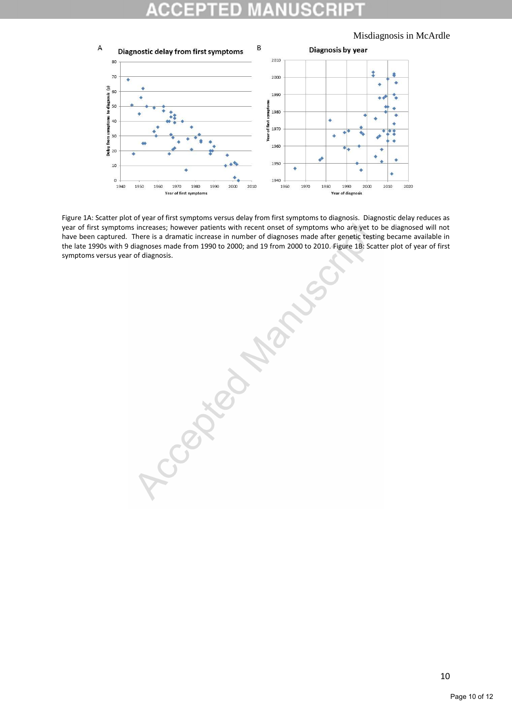## D

Misdiagnosis in McArdle



year of first symptoms increases; however patients with recent onset of symptoms who are yet to be diagnosed will not have been captured. There is a dramatic increase in number of diagnoses made after genetic testing became available in the late 1990s with 9 diagnoses made from 1990 to 2000; and 19 from 2000 to 2010. Figure 1B: Scatter plot of year of first symptoms versus year of diagnosis.

Figure 1A: Scatter plot of year of first symptoms versus delay from first symptoms to diagnosis. Diagnostic delay reduces as the versus delay reduces and in the content of year of symptoms who are yet to be diagnosed will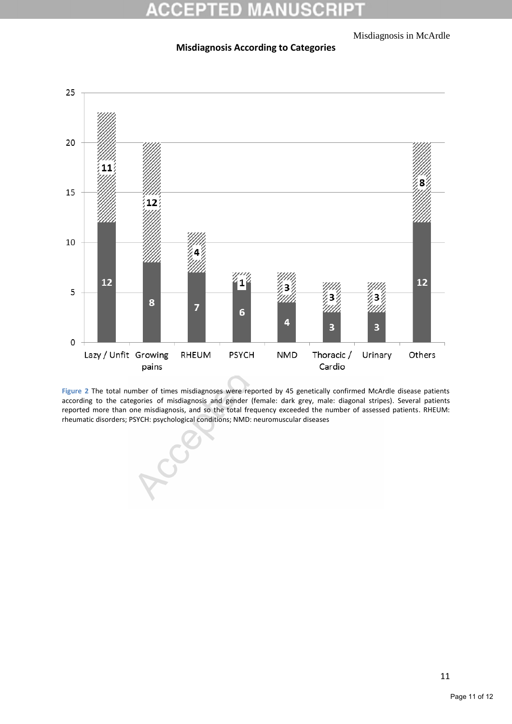#### Misdiagnosis in McArdle

#### **Misdiagnosis According to Categories**



**Figure 2** The total number of times misdiagnoses were reported by 45 genetically confirmed McArdle disease patients according to the categories of misdiagnosis and gender (female: dark grey, male: diagonal stripes). Several patients reported more than one misdiagnosis, and so the total frequency exceeded the number of assessed patients. RHEUM: rheumatic disorders; PSYCH: psychological conditions; NMD: neuromuscular diseases

LCC